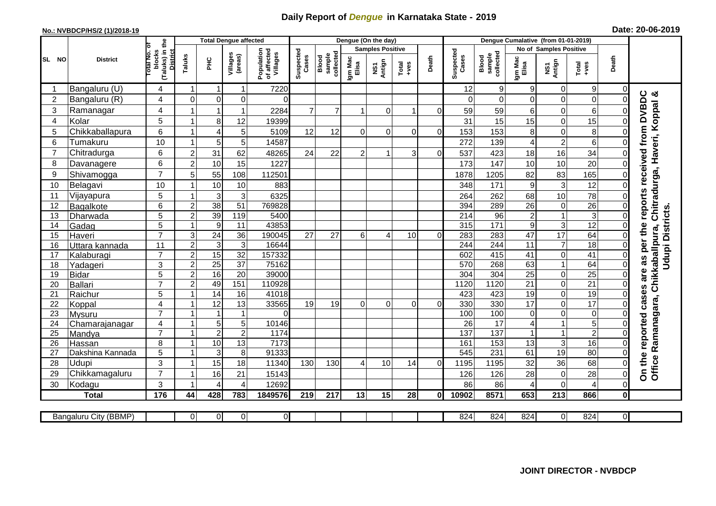## **Daily Report of** *Dengue* **in Karnataka State - 2019**

## **No.: NVBDCP/HS/2 (1)/2018-19 Date: 20-06-2019**

|                | <b>District</b>           |                                                              | <b>Total Dengue affected</b> |                         |                     |                                       |                    |                              |                         | Dengue (On the day) |                  |          |                    |                                     |                      |                               |                                                                      |                  |                                                              |
|----------------|---------------------------|--------------------------------------------------------------|------------------------------|-------------------------|---------------------|---------------------------------------|--------------------|------------------------------|-------------------------|---------------------|------------------|----------|--------------------|-------------------------------------|----------------------|-------------------------------|----------------------------------------------------------------------|------------------|--------------------------------------------------------------|
| SL NO          |                           |                                                              |                              |                         |                     |                                       |                    |                              | <b>Samples Positive</b> |                     |                  |          |                    |                                     |                      | <b>No of Samples Positive</b> |                                                                      |                  |                                                              |
|                |                           | (Taluks) in the<br>lotal No. of<br>blocks<br><b>District</b> | Taluks                       | Ξ                       | Villages<br>(areas) | Population<br>of affected<br>Villages | Suspected<br>Cases | sample<br>collected<br>Blood | Igm Mac<br>Elisa        | NS1<br>Antign       | $Tota$<br>$+ves$ | Death    | Suspected<br>Cases | collected<br><b>Blood</b><br>sample | Igm Mac<br>Elisa     | NS1<br>Antign                 | $\begin{array}{c}\n\text{Total} \\ \text{1} & \text{1}\n\end{array}$ | Death            |                                                              |
|                | Bangaluru (U)             | $\overline{4}$                                               | -1                           | -1                      | 1                   | 7220                                  |                    |                              |                         |                     |                  |          | 12                 | 9                                   | 9                    | 0                             | 9                                                                    | 0                |                                                              |
| $\overline{c}$ | Bangaluru (R)             | 4                                                            | $\mathbf 0$                  | $\mathbf 0$             | $\mathbf 0$         | $\Omega$                              |                    |                              |                         |                     |                  |          | $\Omega$           | 0                                   | 0                    | $\mathbf 0$                   | $\overline{0}$                                                       | $\Omega$         |                                                              |
| 3              | Ramanagar                 | 4                                                            |                              | $\overline{\mathbf{1}}$ | 1                   | 2284                                  | $\overline{7}$     | $\overline{7}$               |                         | $\Omega$            | 1                | ΩI       | 59                 | 59                                  | 6                    | $\mathbf 0$                   | 6                                                                    | 0                | reports received from DVBDC<br>Chitradurga, Haveri, Koppal & |
| 4              | Kolar                     | $\overline{5}$                                               |                              | 8                       | 12                  | 19399                                 |                    |                              |                         |                     |                  |          | 31                 | 15                                  | 15                   | $\mathbf 0$                   | 15                                                                   | 0                |                                                              |
| 5              | Chikkaballapura           | $6\phantom{1}$                                               |                              | $\overline{4}$          | 5                   | 5109                                  | 12                 | 12                           | $\Omega$                | $\Omega$            | $\Omega$         | $\Omega$ | 153                | 153                                 | 8                    | $\mathbf 0$                   | 8                                                                    | 0                |                                                              |
| 6              | Tumakuru                  | 10                                                           |                              | 5                       | 5                   | 14587                                 |                    |                              |                         |                     |                  |          | 272                | 139                                 | 4                    | $\overline{c}$                | $6\phantom{1}$                                                       | $\mathbf 0$      |                                                              |
| $\overline{7}$ | Chitradurga               | 6                                                            | $\overline{2}$               | 31                      | 62                  | 48265                                 | 24                 | 22                           | $\overline{2}$          |                     | 3                | 0        | 537                | 423                                 | 18                   | 16                            | 34                                                                   | $\mathbf 0$      |                                                              |
| 8              | Davanagere                | 6                                                            | $\overline{2}$               | 10                      | 15                  | 1227                                  |                    |                              |                         |                     |                  |          | 173                | 147                                 | 10                   | 10                            | 20                                                                   | $\mathbf 0$      |                                                              |
| 9              | Shivamogga                | $\overline{7}$                                               | 5                            | 55                      | 108                 | 112501                                |                    |                              |                         |                     |                  |          | 1878               | 1205                                | 82                   | 83                            | 165                                                                  | $\Omega$         |                                                              |
| 10             | Belagavi                  | 10                                                           |                              | 10                      | 10                  | 883                                   |                    |                              |                         |                     |                  |          | 348                | 171                                 | $\boldsymbol{9}$     | 3                             | 12                                                                   | $\overline{0}$   |                                                              |
| 11             | Vijayapura                | 5                                                            |                              | 3                       | 3                   | 6325                                  |                    |                              |                         |                     |                  |          | 264                | 262                                 | 68                   | 10                            | 78                                                                   | $\Omega$         |                                                              |
| 12             | Bagalkote                 | $\,6$                                                        | $\overline{2}$               | 38                      | 51                  | 769828                                |                    |                              |                         |                     |                  |          | 394                | 289                                 | 26                   | $\overline{0}$                | 26                                                                   | $\mathbf 0$      |                                                              |
| 13             | Dharwada                  | 5                                                            | $\overline{2}$               | $\overline{39}$         | 119                 | 5400                                  |                    |                              |                         |                     |                  |          | 214                | 96                                  | $\overline{c}$       | $\mathbf 1$                   | 3                                                                    | $\mathbf 0$      | <b>Udupi Districts</b>                                       |
| 14             | Gadag                     | $\overline{5}$                                               |                              | 9                       | 11                  | 43853                                 |                    |                              |                         |                     |                  |          | 315                | 171                                 | 9                    | $\overline{3}$                | 12                                                                   | $\mathbf 0$      |                                                              |
| 15             | Haveri                    | $\overline{7}$                                               | 3                            | 24                      | 36                  | 190045                                | 27                 | 27                           | 6                       | ⊿                   | 10               | $\Omega$ | 283                | 283                                 | 47                   | $\overline{17}$               | 64                                                                   | 0                |                                                              |
| 16             | Uttara kannada            | 11                                                           | $\overline{2}$               | 3                       | $\overline{3}$      | 16644                                 |                    |                              |                         |                     |                  |          | 244                | 244                                 | $\overline{11}$      | $\overline{7}$                | 18                                                                   | $\overline{0}$   | are as per the                                               |
| 17             | Kalaburagi                | $\overline{7}$                                               | $\overline{2}$               | 15                      | 32                  | 157332                                |                    |                              |                         |                     |                  |          | 602                | 415                                 | 41                   | $\mathbf 0$                   | $\overline{41}$                                                      | $\mathbf 0$      |                                                              |
| 18             | Yadageri                  | 3                                                            | $\overline{2}$               | 25                      | 37                  | 75162                                 |                    |                              |                         |                     |                  |          | 570                | 268                                 | 63                   | $\mathbf{1}$                  | 64                                                                   | $\mathbf 0$      |                                                              |
| 19             | <b>Bidar</b>              | $\overline{5}$                                               | $\overline{2}$               | 16                      | $\overline{20}$     | 39000                                 |                    |                              |                         |                     |                  |          | 304                | 304                                 | $\overline{25}$      | $\mathbf 0$                   | $\overline{25}$                                                      | $\mathbf 0$      |                                                              |
| 20             | Ballari                   | $\overline{7}$                                               | $\overline{2}$               | 49                      | 151                 | 110928                                |                    |                              |                         |                     |                  |          | 1120               | 1120                                | $\overline{21}$      | $\mathbf 0$                   | $\overline{21}$                                                      | $\mathbf 0$      |                                                              |
| 21             | Raichur                   | $\overline{5}$                                               |                              | 14                      | 16                  | 41018                                 |                    |                              |                         |                     |                  |          | 423                | 423                                 | $\overline{19}$      | $\overline{0}$                | 19                                                                   | $\mathbf 0$      | Ramanagara, Chikkaballpura,<br>cases                         |
| 22             | Koppal                    | $\overline{\mathbf{4}}$                                      |                              | 12                      | 13                  | 33565                                 | 19                 | 19                           | $\Omega$                | $\Omega$            | $\Omega$         | 0        | 330                | 330                                 | $\overline{17}$      | $\mathbf 0$                   | 17                                                                   | $\Omega$         |                                                              |
| 23             | Mysuru                    | $\overline{7}$                                               |                              |                         | $\overline{1}$      | $\Omega$                              |                    |                              |                         |                     |                  |          | 100                | 100                                 | $\overline{O}$       | $\mathbf 0$                   | $\mathsf 0$                                                          | $\mathbf 0$      | reported                                                     |
| 24             | Chamarajanagar            | 4<br>$\overline{7}$                                          |                              | 5                       | 5                   | 10146                                 |                    |                              |                         |                     |                  |          | 26                 | $\overline{17}$                     | 4                    | $\mathbf 1$                   | $\overline{5}$                                                       | 0                |                                                              |
| 25             | Mandya                    |                                                              |                              | $\overline{2}$          | $\overline{2}$      | 1174                                  |                    |                              |                         |                     |                  |          | 137                | 137                                 | $\blacktriangleleft$ | $\mathbf{1}$                  | $\overline{2}$                                                       | $\Omega$         |                                                              |
| 26             | Hassan                    | 8<br>5                                                       |                              | 10<br>3                 | 13<br>8             | 7173<br>91333                         |                    |                              |                         |                     |                  |          | 161<br>545         | 153<br>231                          | 13<br>61             | 3<br>19                       | 16<br>$\overline{80}$                                                | $\mathbf 0$<br>0 |                                                              |
| 27<br>28       | Dakshina Kannada<br>Udupi | 3                                                            |                              |                         | 18                  | 11340                                 | 130                | 130                          | 4                       | 10                  | 14               | $\Omega$ | 1195               | 1195                                | 32                   | 36                            | 68                                                                   | $\Omega$         | the                                                          |
| 29             | Chikkamagaluru            | $\overline{7}$                                               |                              | 15<br>16                | 21                  | 15143                                 |                    |                              |                         |                     |                  |          | 126                | 126                                 | 28                   | $\mathbf 0$                   | 28                                                                   | $\Omega$         | Office                                                       |
| 30             | Kodagu                    | $\mathbf{3}$                                                 |                              | 4                       | 4                   | 12692                                 |                    |                              |                         |                     |                  |          | 86                 | 86                                  | 4                    | $\mathbf 0$                   | 4                                                                    | $\mathbf 0$      | $\delta$                                                     |
|                | <b>Total</b>              | $\frac{1}{176}$                                              | 44                           | 428                     | 783                 | 1849576                               | 219                | 217                          | 13                      | 15                  | 28               | Οl       | 10902              | 8571                                | 653                  | $\overline{213}$              | 866                                                                  | $\mathbf{0}$     |                                                              |
|                |                           |                                                              |                              |                         |                     |                                       |                    |                              |                         |                     |                  |          |                    |                                     |                      |                               |                                                                      |                  |                                                              |
|                | Bangaluru City (BBMP)     |                                                              | $\Omega$                     | $\overline{0}$          | 0                   | $\mathbf{0}$                          |                    |                              |                         |                     |                  |          | 824                | 824                                 | 824                  | 0                             | 824                                                                  | $\mathbf{0}$     |                                                              |